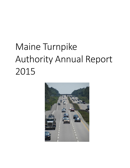# Maine Turnpike Authority Annual Report 2015

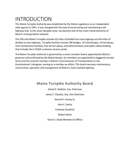# INTRODUCTION

The Maine Turnpike Authority was established by the Maine Legislature as an independent state agency in 1941. It was charged with the task of constructing and maintaining a toll highway that, in the seven decades since, has become one of the most critical elements of Maine's transportation network.

The 109 mile Maine Turnpike includes 65 miles of divided four-lane highway and 44 miles of divided six-lane highway. Turnpike facilities include 184 bridges, 19 interchanges, 19 toll plazas, nine maintenance facilities, five service plazas, and administration and public safety building that includes the E-ZPASS customer service center.

The Maine Turnpike Authority is governed by a seven-member board, appointed by Maine's governor and confirmed by the Maine Senate. Six members are appointed to staggered six-year terms and the seventh member is Maine's Commissioner of Transportation or the Commissioner's designee, serving as a member ex-officio. The board oversees maintenance, construction, operation and management of Maine's most traveled highway.

### **Maine Turnpike Authority Board**

Daniel E. Wathen, Esq. Chairman James F. Cloutier, Esq. Vice Chairman Gerard P. Conley Sr. John E. Dority Freeman Goodrich Robert Stone

Karen S. Doyle Member Ex Officio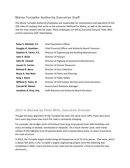### **Maine Turnpike Authority Executive Staff**

The Maine Turnpike Authority employees are responsible for maintenance and operation of the 109 miles of roadway that serve as the economic lifeblood for Maine, as well as the welcome mat for most visitors into the state. These employees are led by Executive Director Peter Mills and his executive staff, listed below.

| Peter S. Merfeld, P.E.   | <b>Chief Operations Officer</b>                       |
|--------------------------|-------------------------------------------------------|
| Douglas D. Davidson      | Chief Financial Officer and Authority Board Treasurer |
| Stephen R. Tartre, P.E.  | Director of Engineering and Building Maintenance      |
| John P. Sirois           | Director of Finance                                   |
| John W. Cannell          | Director of Highway & Equipment Maintenance           |
| Lauren G. Carrier        | Director of Human Resources                           |
| <b>Richard R. Barra</b>  | Director of Fare Collection                           |
| <b>Bruce A. Van Note</b> | Director of Policy and Planning                       |
| Greg J. Stone            | Director of Public Safety                             |
| William H. Yates, III    | Director of Information Services and Communications   |
| <b>Conrad W. Welzel</b>  | <b>Government Relations Manager</b>                   |
| Jonathan A. Arey, Esq.   | Staff Attorney and Authority Board Secretary          |

### 2015 in Review by Peter Mills, Executive Director

Though the basic alignment of the Turnpike has been the same since 1955, those who work here every day know how much the road is constantly changing.

For example, the bridges north of Portland have long since passed their 50th birthdays and many are being re-decked, overhauled or replaced. On a much shorter cycle, each travel surface of the highway must be ground down and re-paved about every 12 years to preserve the road structure.

In 2013, the Turnpike began modernizing toll equipment in all 19 of its plazas. That work, which is about half done, is the Turnpike's largest engineering project since the widening was completed in 2004. Every toll lane on the road must be closed for a time to install the new electronics.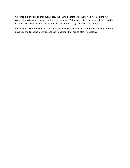Closures like this are an inconvenience, but Turnpike staff are always helpful in extending courtesies to travelers. As a result, most citizens of Maine appreciate the value of this road that carries about 9% of Maine's vehicle traffic and a much larger portion of its freight.

I want to thank employees for their hard work, their patience and their help in dealing with the public as the Turnpike undergoes these transitions that are so often necessary.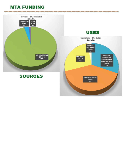## **MTA FUNDING**

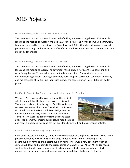# 2015 Projects

#### Mainline Paving Mile Marker 68-75 \$3.8 million

The pavement rehabilitation work consisted of milling and resurfacing the two 12-foot wide lanes and the median shoulder from mile 68.5 to mile 74.9. The work also involved earthwork, tree plantings, and bridge repairs at the Royal River and Bald Hill bridges, drainage, guardrail, pavement markings, and maintenance of traffic. Pike Industries Inc was the contractor this \$3.8 million dollar project.

#### Mainline Paving Mile Marker 51-54 \$4.7 million

The pavement rehabilitation work consisted of milling and resurfacing the two 12-foot wide lanes and the median shoulder. The pavement rehabilitation work consisted of milling and resurfacing the two 12-foot wide lanes on the Falmouth Spur. The work also involved earthwork, bridge repairs, drainage, guardrail, berm drop-off correction, pavement markings, and maintenance of traffic. Pike Industries Inc was the contractor on this \$4.8 Million dollar project

#### Lunt's Hill RoadBridge Superstructure Replacement \$1.2 million

Wyman & Simpson was the contractor for this project, which required that the bridge be closed for 6 months. The work consisted of replacing Lunt's Hill Road Bridge superstructure over the Maine Turnpike in the Town of Litchfield, Maine. The Lunt's Hill Road Bridge was the lowest volume two-way bridge that spans over the Turnpike. The work included concrete deck and steel girder replacement, concrete substructure modifications



and repairs, approach work and paving, guardrail, bridge rail, and maintenance of traffic.

#### Exits 45 and 46 Bridge Repairs \$3 million

CPM Constructors of Freeport, Maine was the contractor on this project. The work consisted of pavement overlay of the Exit 46 interchange ramps as well as minor widening of the southbound off ramp and the northbound on-ramp. There was a new pavement wearing surface put down and repairs to the bridge joints on Skyway Drive. At Exit 45, bridge repair work included bridge joint repairs, substructure repairs, deck repairs, new bridge deck membrane, paving and approach paving, and the installation of a lightweight barrier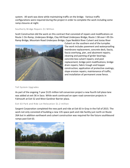system. All work was done while maintaining traffic on the bridge. Various traffic configurations were required during the project in order to complete the work including some ramp closures at night.

#### Southerly Bridge Repairs \$1 Million

Scott Construction did the work on this contract that consisted of repairs and modifications on Route 1 On-Ramp, Underpass Bridge, Clay Hill Road Underpass Bridge, Route 1 SB over I-95 On-Ramp Bridge, Mountain Road Underpass Bridge, Cape Neddick River Culvert and Josias River



Culvert on the southern end of the turnpike. The work includes pavement and waterproofing membrane replacement, concrete deck, fascia, fascia overhang, pier, and abutment repairs; cleaning and painting of girder bearings; concrete box culvert repairs; end post replacement; bridge joint modifications; bridge drain repairs; fabric trough and hopper construction; application of protective coatings; slope erosion repairs; maintenance of traffic; and installation of permanent snow fence.

#### Toll System Upgrades

As part of the ongoing 7-year \$125 million toll conversion project a new fourth toll plaza lane was added at exit 36 in Saco. While work continued on open road conversion projects in Falmouth at Exit 52 and West Gardiner Barrier plaza.

#### Exit 63 Park and Ride Lot Relocation \$1.2 million

Sargent Corporation completed the new park and ride at Exit 63 in Gray in the Fall of 2015. The work not only consisted of building a new 135 space park and ride facility just north on Route 26A but in addition earthwork and culvert construction was required for the future southbound ramps past Exit 63.

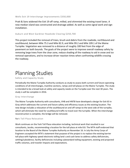#### Wells Exit 19 Interchange Improvements \$350,000

Pratt & Sons widened the Exit 19 off ramp, milled, and shimmied the existing travel lanes. A new median island was constructed and drainage added. As well as some signal work and sign installation.

#### Auburn and West Gardiner Roadside Clearing \$250,700

This project included the removal of trees, brush and debris from the roadside, northbound and southbound, between Mile 75.3 and Mile 82.9, and Mile 99.2 and Mile 109.1 of the Maine Turnpike. Vegetation was removed to a distance of roughly 100 feet from the edge of pavement on both bounds. The goals of the project were to improve overall roadway safety by removing large trees from the clear zone, reduce shading of the roadway to aid in snow and ice removal operations, and to increase driver reaction times when confronting wildlife crossing the roadway.

# Planning Studies

Safety and Capacity Study

Periodically the Maine Turnpike Authority conducts as study to assess both current and future operating conditions of all interchanges, mainline sections, ramps and toll plazas on the Maine Turnpike. The study is intended to be a broad look at safety and capacity needs on the Turnpike over the next 30 years. The study is will be complete in 2016.

#### Gray Interchange

The Maine Turnpike Authority with consultants, VHB and HNTB have developed a design for Exit 63 in Gray which addresses the current and future safety and efficiency issues as the existing location. The new design includes a relocation of the southbound on and off ramps to the west side of the turnpike, which will eliminate the need for southbound traffic to travel over the turnpike. When the interchange reconstruction is complete, the bridge will be removed.

#### York Toll Plaza Relocation

Work continues on the York Toll Plaza relocation including, technical work that resulted in our consultants, Jacobs, recommending a location for the toll plaza at mile 8.8. The MTA staff endorsed that location to the Board of the Maine Turnpike Authority on November 16. In July the Army Corps of Engineers accepted the MTA's statement that purpose of the project is to replace the existing barrier toll plaza with highway speed electronic tolling land s and cash lanes to address safety deficiencies, settling/subsidence, facility deficiencies including substandard tolling equipment, existing and projected traffic volumes, and traveler impacts and expectations.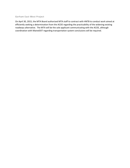#### Gorham East-West Project

On April 30, 2015, the MTA Board authorized MTA staff to contract with HNTB to conduct work aimed at efficiently seeking a determination from the ACOE regarding the practicability of the widening existing roadways alternative. The MTA will be the sole applicant communicating with the ACOE, although coordination with MaineDOT regarding transportation system conclusions will be required.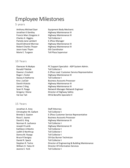# Employee Milestones

#### 5 years

Anthony Michael Dyer Equipment Body Mechanic Jonathan K Gentley **Highway Maintenance III** Francis Marc Gregoire Jr Highway Maintenance III Charles X. Higgins Toll Collector I Pamela Jane Lambert E-ZPass Manager David Edmond Morrow Highway Maintenance III Robert Charles Thayer Highway Maintenance III Jason Isaac Thyen GIS Coordinator Marie E. Turgeon Toll Plaza Supervisor

#### 10 Years

Ebenezer N Akakpo PC Support Specialist - ADP System Admin. Ronald P Belisle Toll Collector I Dawna L Crockett **E-ZPass Lead Customer Service Representative** Roger L Foster **Highway Maintenance III** Stacey A Hathorne Toll Collector I Kira L LeClair **Business Accounts Processor** David A Katula **Highway Maintenance III** James C King **Highway Maintenance III** Sean R. Poage Network Manager-Network Engineer Gregory J Stone **Director of Highway Safety** Val Joe Tait **HR & Benefits Specialist II** 

#### 15 Years

Jonathan A. Arey Staff Attorney Christopher M. Gallant Toll Collector I Brenda S. Gayton E-ZPass Customer Service Representative Rosa E. Jaynes **Business Accounts Processor** David G. King **Highway Maintenance III** Norman R. Lachance Toll Collector I Joseph R Lamb Highway Maintenance III Kathleen A Martin Toll Collector I Judith D Northrup Toll Collector I Donna M. Ruopp Toll Collector I Bruce R Sevigny Oil-Gas Burner Technician Daniel R. Speck Toll Collector I Stephen R. Tartre Director of Engineering & Building Maintenance William H. Yates III Director Of Information Services Jeanne E. York Toll Collector I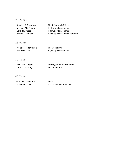#### 20 Years

| Douglas D. Davidson | <b>Chief Financial Officer</b> |
|---------------------|--------------------------------|
| Michael P DeSimone  | Highway Maintenance III        |
| Gerald L. Picard    | Highway Maintenance III        |
| Jeffrey A. Stevens  | Highway Maintenance Foreman    |

25 years

| Diane L. Frederickson | Toll Collector I        |
|-----------------------|-------------------------|
| Jeffrey G. Lamb       | Highway Maintenance III |

#### 30 Years

Terry L. McCarty **Toll Collector I** 

Richard P. Cabana Printing Room Coordinator

#### 40 Years

Gerald K. McArthur Teller

William E. Wells **Director of Maintenance**